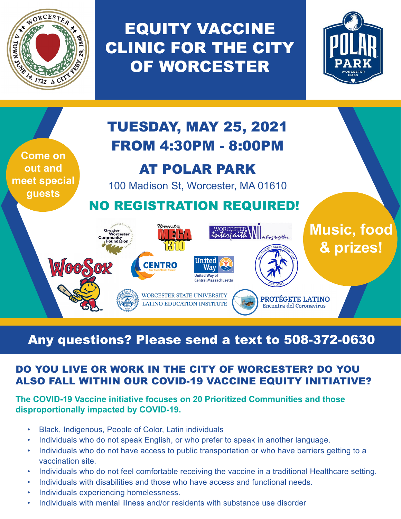

EQUITY VACCINE CLINIC FOR THE CITY OF WORCESTER





# Any questions? Please send a text to 508-372-0630

## DO YOU LIVE OR WORK IN THE CITY OF WORCESTER? DO YOU ALSO FALL WITHIN OUR COVID-19 VACCINE EQUITY INITIATIVE?

#### **The COVID-19 Vaccine initiative focuses on 20 Prioritized Communities and those disproportionally impacted by COVID-19.**

- Black, Indigenous, People of Color, Latin individuals
- Individuals who do not speak English, or who prefer to speak in another language.
- Individuals who do not have access to public transportation or who have barriers getting to a vaccination site.
- Individuals who do not feel comfortable receiving the vaccine in a traditional Healthcare setting.
- Individuals with disabilities and those who have access and functional needs.
- Individuals experiencing homelessness.
- Individuals with mental illness and/or residents with substance use disorder